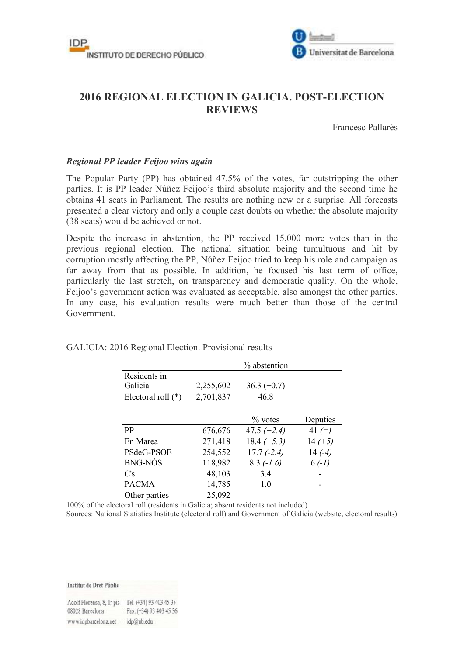



# **2016 REGIONAL ELECTION IN GALICIA. POST-ELECTION REVIEWS**

Francesc Pallarés

### *Regional PP leader Feijoo wins again*

The Popular Party (PP) has obtained 47.5% of the votes, far outstripping the other parties. It is PP leader Núñez Feijoo's third absolute majority and the second time he obtains 41 seats in Parliament. The results are nothing new or a surprise. All forecasts presented a clear victory and only a couple cast doubts on whether the absolute majority (38 seats) would be achieved or not.

Despite the increase in abstention, the PP received 15,000 more votes than in the previous regional election. The national situation being tumultuous and hit by corruption mostly affecting the PP, Núñez Feijoo tried to keep his role and campaign as far away from that as possible. In addition, he focused his last term of office, particularly the last stretch, on transparency and democratic quality. On the whole, Feijoo's government action was evaluated as acceptable, also amongst the other parties. In any case, his evaluation results were much better than those of the central Government.

|                      |           | % abstention  |           |
|----------------------|-----------|---------------|-----------|
| Residents in         |           |               |           |
| Galicia              | 2,255,602 | $36.3 (+0.7)$ |           |
| Electoral roll $(*)$ | 2,701,837 | 46.8          |           |
|                      |           |               |           |
|                      |           | $\%$ votes    | Deputies  |
| <b>PP</b>            | 676,676   | 47.5 $(+2.4)$ | 41 $(=)$  |
| En Marea             | 271,418   | $18.4 (+5.3)$ | $14 (+5)$ |
| PSdeG-PSOE           | 254,552   | $17.7(-2.4)$  | $14(-4)$  |
| <b>BNG-NÓS</b>       | 118,982   | $8.3$ (-1.6)  | $6(-1)$   |
| C's                  | 48,103    | 3.4           |           |
| <b>PACMA</b>         | 14,785    | 1.0           |           |
| Other parties        | 25,092    |               |           |

#### GALICIA: 2016 Regional Election. Provisional results

100% of the electoral roll (residents in Galicia; absent residents not included)

Sources: National Statistics Institute (electoral roll) and Government of Galicia (website, electoral results)

Institut de Dret Públic

Adolf Florensa, 8, Ir pis Tel. (+34) 93 403 45 35 Fax. (+34) 93 403 45 36 08028 Barcelona www.idpbarcelona.net idp@ub.edu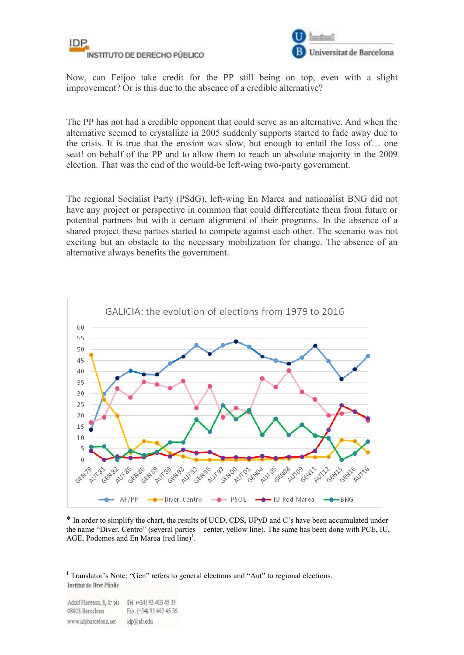



Now, can Feijoo take credit for the PP still being on top, even with a slight improvement? Or is this due to the absence of a credible alternative?

The PP has not had a credible opponent that could serve as an alternative. And when the alternative seemed to crystallize in 2005 suddenly supports started to fade away due to the crisis. It is true that the erosion was slow, but enough to entail the loss of… one seat! on behalf of the PP and to allow them to reach an absolute majority in the 2009 election. That was the end of the would-be left-wing two-party government.

The regional Socialist Party (PSdG), left-wing En Marea and nationalist BNG did not have any project or perspective in common that could differentiate them from future or potential partners but with a certain alignment of their programs. In the absence of a shared project these parties started to compete against each other. The scenario was not exciting but an obstacle to the necessary mobilization for change. The absence of an alternative always benefits the government.



\* In order to simplify the chart, the results of UCD, CDS, UPyD and C's have been accumulated under the name "Diver. Centro" (several parties – center, yellow line). The same has been done with PCE, IU, AGE, Podemos and En Marea (red line)<sup>1</sup>.

<u>.</u>

<sup>&</sup>lt;sup>1</sup> Translator's Note: "Gen" refers to general elections and "Aut" to regional elections. Institut de Dret Públic